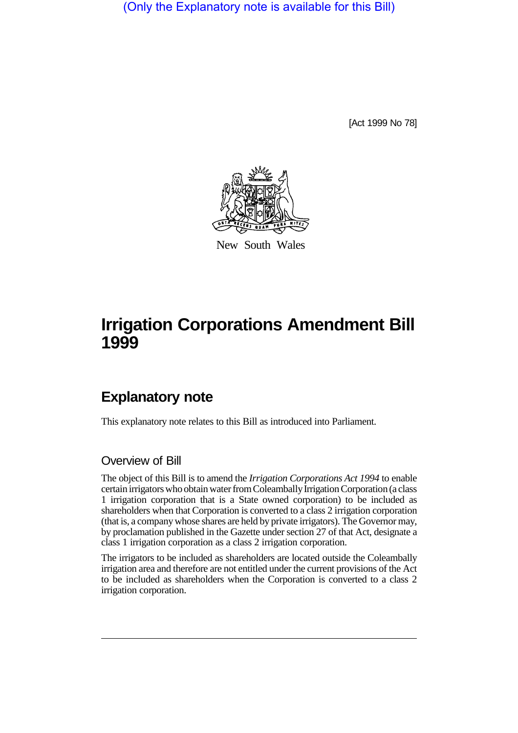(Only the Explanatory note is available for this Bill)

[Act 1999 No 78]



New South Wales

# **Irrigation Corporations Amendment Bill 1999**

## **Explanatory note**

This explanatory note relates to this Bill as introduced into Parliament.

#### Overview of Bill

The object of this Bill is to amend the *Irrigation Corporations Act 1994* to enable certain irrigators who obtain water from Coleambally Irrigation Corporation (a class 1 irrigation corporation that is a State owned corporation) to be included as shareholders when that Corporation is converted to a class 2 irrigation corporation (that is, a company whose shares are held by private irrigators). The Governor may, by proclamation published in the Gazette under section 27 of that Act, designate a class 1 irrigation corporation as a class 2 irrigation corporation.

The irrigators to be included as shareholders are located outside the Coleambally irrigation area and therefore are not entitled under the current provisions of the Act to be included as shareholders when the Corporation is converted to a class 2 irrigation corporation.